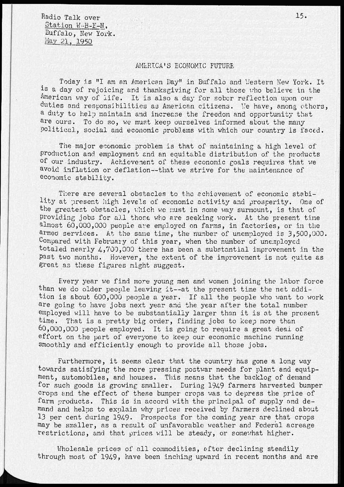Radio Talk over Station *W*--B-F-N, Buffalo, New York. May 21, 1950

## AMERICA' S ECONOMIC FUTURE

Today is "I am an American Day" in Buffalo and Vestern New York. It is a day of rejoicing and thanksgiving for all those who believe in the American way of life. It is also a day for sober reflection upon our duties and responsibilities as American citizens. We have, among others, a duty to help maintain and increase the freedom and opportunity that are ours. To do so, we must keep ourselves informed about the many political, social and economic problems with which our country is faced.

The major economic problem is that of maintaining a high level of production and employment and an equitable distribution of the products of our industry. Achievement of these economic goals requires that we avoid inflation or deflation—that we strive for the maintenance of economic stability.

There are several obstacles to the achievement of economic stability at present high levels of economic activity and prosperity. One of the greatest obstacles, which we must in some way surmount, is that of providing jobs for all those who are seeking work. At the present time almost 60,000,000 people are employed on farms, in factories, or in the armed services. At the same time, the number of unemployed is 3,500,000. Compared with February of this year, when the number of unemployed totaled nearly 4,700,000 there has been a substantial improvement in the past two months. However, the extent of the improvement is not quite as great as these figures might suggest.

Every year we find more young men and women joining the labor force than we do older people leaving it—at the present time the net addition is about 600,000 people a year. If all the people who want to work are going to have jobs next year and the year after the total number employed will have to be substantially larger than it is at the present time. That is a pretty big order, finding jobs to keep more than That is a pretty big order, finding jobs to keep more than 60,000,000 people employed. It is going to require a great deal of effort on the part of everyone to keep our economic machine running smoothly and efficiently enough to provide all those jobs.

Furthermore, it seems clear that the country has gone a long way towards satisfying the more pressing postwar needs for plant and equipment, automobiles, and houses. This means that the backlog of demand for such goods is growing smaller. During 1949 farmers harvested bumper crops and the effect of these bumper crops was to depress the price of farm products. This is in accord with the principal of supply and demand and helps to explain why prices received by farmers declined about 13 per cent during 1949. Prospects for the coming year are that crops may be smaller, as a result of unfavorable weather and Federal acreage restrictions, and that prices, will be steady, or somewhat higher.

Wholesale prices of all commodities, after declining steadily through most of 1949, have been inching upward in recent months and are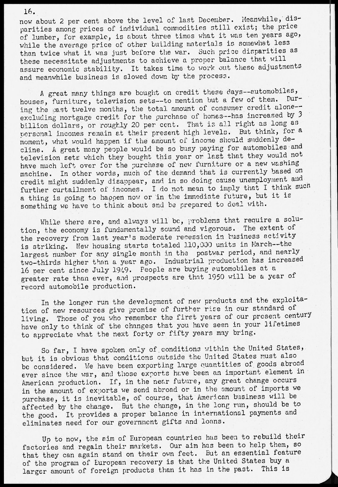now about 2 per cent above the level of last December. Meanwhile, disparities among prices of individual commodities still exist; the price of lumber, for example, is about three times what it was ten years ago, while the average price of other building materials is somewhat less than twice what it was just before the war. Such price disparities as these necessitate adjustments to achieve a proper balance that will assure economic stability. It takes time to work out these adjustments and meanwhile business is slowed down by the process.

A great many things are bought on credit these days--automobiles, houses, furniture, television sets--to mention but a few of them. ing the past twelve months, the total amount of consumer credit alone-excluding mortgage credit for the purchase of homes—has increased by 3 billion dollars, or roughly 20 per cent. That is all right as long as personal incomes remain at their present high levels. But think, for a moment, what would happen if the amount of income should suddenly decline. A great many people would be so busy paying for automobiles and television sets which they bought this year or last that they would not have much left over for the purchase of new furniture or a new washing machine. In other words, much of the demand that is currently based on credit might suddenly disappear, and in so doing cause unemployment and further curtailment of incomes. I do not mean to imply that I think such a thing is going to happen now or in the immediate future, but it is something we have to think about and be prepared to deal with.

While there are, and always will be, problems that require a solution, the economy is fundamentally sound and vigorous. The extent of the recovery from last year's moderate recession in business activity is striking. Mew housing starts totaled 110,000 units in March—the largest number for any single month in the postwar period, and nearly two-thirds higher than a year ago. Industrial production has increased 16 oer cent since July 1949. People are buying automobiles at a greater rate than ever, and prospects are that 1950 will be a year of record automobile production.

In the longer run the development of new products and the exploitation of new resources give promise of further rise in our standard of living. Those of you who remember the first years of our present century have only to think of the changes that you have seen in your lifetimes to appreciate what the next forty or fifty years may bring.

So far, I have spoken only of conditions within the United States, but it is obvious that conditions outside the United States must also be considered. We have been exporting large quantities of goods abroad ever since the war, and those exports have been an important element in American production. If, in the near future, any great change occurs in the amount of exports we send abroad or in the amount of imports we purchase, it is inevitable, of course, that American business will be affected by the change. But the change, in the long run, should be to the good. It provides a proper balance in international payments and eliminates need for our government gifts and loans.

Up to now, the aim of European countries has been to rebuild their factories and regain their markets. Our aim has been to help them, so that they can again stand on their own feet. But an essential feature of the program of European recovery is that the United States buy a larger amount of foreign products than it has in the past. This is

16.